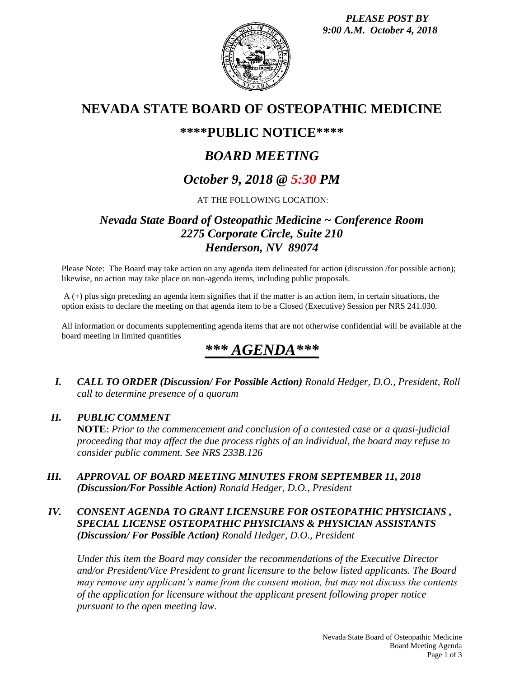

## **NEVADA STATE BOARD OF OSTEOPATHIC MEDICINE**

## **\*\*\*\*PUBLIC NOTICE\*\*\*\***

## *BOARD MEETING*

## *October 9, 2018 @ 5:30 PM*

### AT THE FOLLOWING LOCATION:

## *Nevada State Board of Osteopathic Medicine ~ Conference Room 2275 Corporate Circle, Suite 210 Henderson, NV 89074*

Please Note: The Board may take action on any agenda item delineated for action (discussion /for possible action); likewise, no action may take place on non-agenda items, including public proposals.

A (+) plus sign preceding an agenda item signifies that if the matter is an action item, in certain situations, the option exists to declare the meeting on that agenda item to be a Closed (Executive) Session per NRS 241.030.

All information or documents supplementing agenda items that are not otherwise confidential will be available at the board meeting in limited quantities

# *\*\*\* AGENDA\*\*\**

*I. CALL TO ORDER (Discussion/ For Possible Action) Ronald Hedger, D.O., President, Roll call to determine presence of a quorum*

#### *II. PUBLIC COMMENT*

**NOTE**: *Prior to the commencement and conclusion of a contested case or a quasi-judicial proceeding that may affect the due process rights of an individual, the board may refuse to consider public comment. See NRS 233B.126*

*III. APPROVAL OF BOARD MEETING MINUTES FROM SEPTEMBER 11, 2018 (Discussion/For Possible Action) Ronald Hedger, D.O., President*

### *IV. CONSENT AGENDA TO GRANT LICENSURE FOR OSTEOPATHIC PHYSICIANS , SPECIAL LICENSE OSTEOPATHIC PHYSICIANS & PHYSICIAN ASSISTANTS (Discussion/ For Possible Action) Ronald Hedger, D.O., President*

*Under this item the Board may consider the recommendations of the Executive Director and/or President/Vice President to grant licensure to the below listed applicants. The Board may remove any applicant's name from the consent motion, but may not discuss the contents of the application for licensure without the applicant present following proper notice pursuant to the open meeting law.*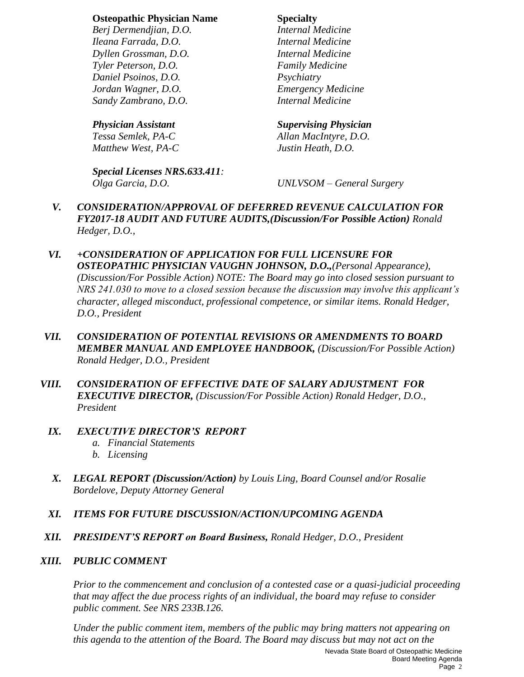#### **Osteopathic Physician Name Specialty**

*Berj Dermendjian, D.O. Internal Medicine Ileana Farrada, D.O. Internal Medicine Dyllen Grossman, D.O. Internal Medicine Tyler Peterson, D.O. Family Medicine Daniel Psoinos, D.O. Psychiatry Jordan Wagner, D.O. Emergency Medicine Sandy Zambrano, D.O.* 

*Matthew West, PA-C Justin Heath, D.O.*

*Special Licenses NRS.633.411: Olga Garcia, D.O. UNLVSOM – General Surgery*

#### *Physician Assistant Supervising Physician*

*Tessa Semlek, PA-C Allan MacIntyre, D.O.*

- *V. CONSIDERATION/APPROVAL OF DEFERRED REVENUE CALCULATION FOR FY2017-18 AUDIT AND FUTURE AUDITS,(Discussion/For Possible Action) Ronald Hedger, D.O.,*
- *VI. +CONSIDERATION OF APPLICATION FOR FULL LICENSURE FOR OSTEOPATHIC PHYSICIAN VAUGHN JOHNSON, D.O.,(Personal Appearance), (Discussion/For Possible Action) NOTE: The Board may go into closed session pursuant to NRS 241.030 to move to a closed session because the discussion may involve this applicant's character, alleged misconduct, professional competence, or similar items. Ronald Hedger, D.O., President*
- *VII. CONSIDERATION OF POTENTIAL REVISIONS OR AMENDMENTS TO BOARD MEMBER MANUAL AND EMPLOYEE HANDBOOK, (Discussion/For Possible Action) Ronald Hedger, D.O., President*
- *VIII. CONSIDERATION OF EFFECTIVE DATE OF SALARY ADJUSTMENT FOR EXECUTIVE DIRECTOR, (Discussion/For Possible Action) Ronald Hedger, D.O., President*

#### *IX. EXECUTIVE DIRECTOR'S REPORT*

- *a. Financial Statements*
- *b. Licensing*
- *X. LEGAL REPORT (Discussion/Action) by Louis Ling, Board Counsel and/or Rosalie Bordelove, Deputy Attorney General*
- *XI. ITEMS FOR FUTURE DISCUSSION/ACTION/UPCOMING AGENDA*
- *XII. PRESIDENT'S REPORT on Board Business, Ronald Hedger, D.O., President*

#### *XIII. PUBLIC COMMENT*

*Prior to the commencement and conclusion of a contested case or a quasi-judicial proceeding that may affect the due process rights of an individual, the board may refuse to consider public comment. See NRS 233B.126.*

Nevada State Board of Osteopathic Medicine Board Meeting Agenda *Under the public comment item, members of the public may bring matters not appearing on this agenda to the attention of the Board. The Board may discuss but may not act on the*